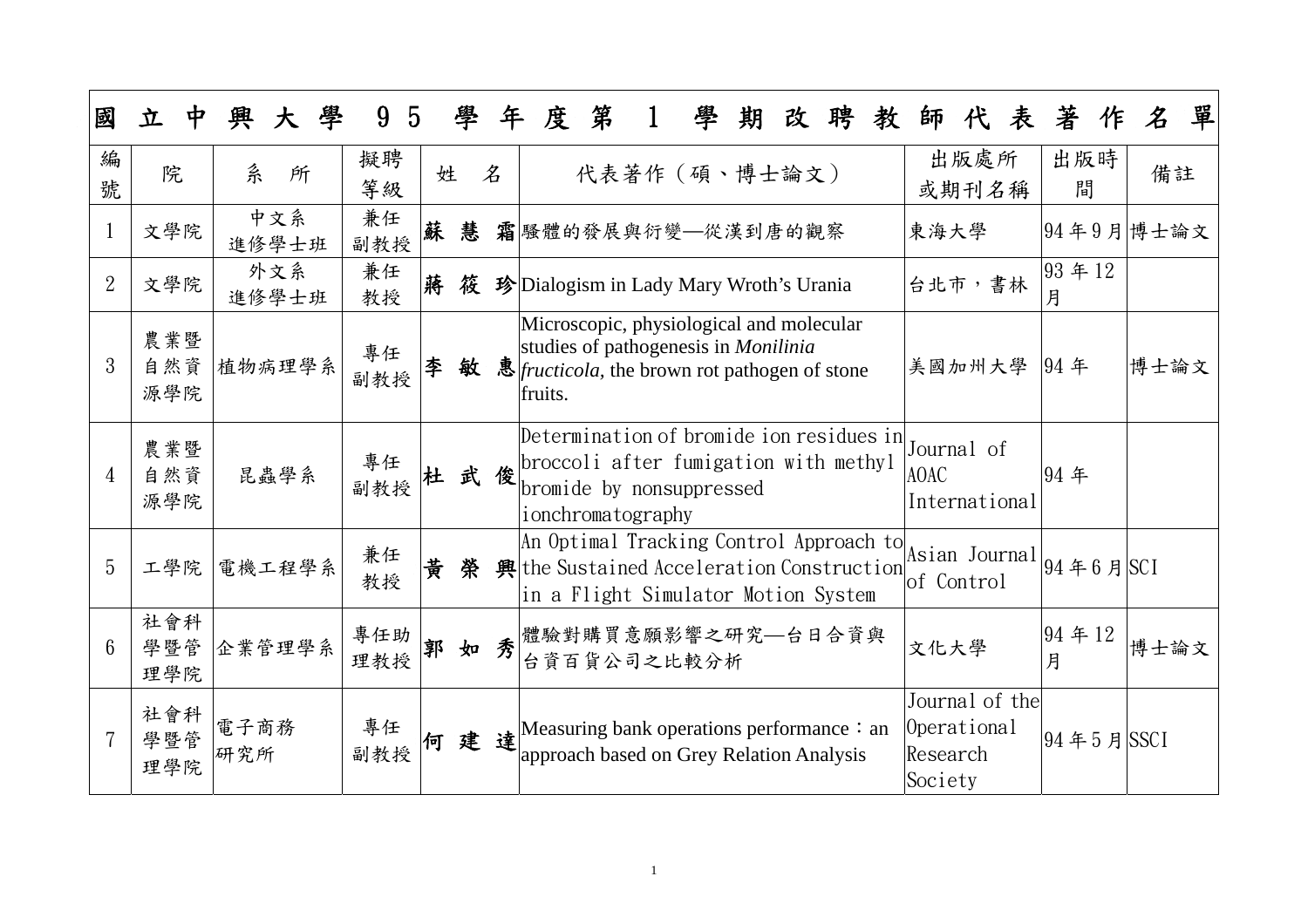| 國              | 立                 | 學<br>興<br>大  | 9<br>$5\overline{)}$ |   | 學   | 年  | 度       | 第                                                                                                                                                | 學 | 期 | 改 | 聘 | 教 | 師                                                    | 代             | 表 | 著                                              | 作 | $\pmb{\mathcal{Z}}$ | 單 |
|----------------|-------------------|--------------|----------------------|---|-----|----|---------|--------------------------------------------------------------------------------------------------------------------------------------------------|---|---|---|---|---|------------------------------------------------------|---------------|---|------------------------------------------------|---|---------------------|---|
| 編<br>號         | 院                 | 糸<br>所       | 擬聘<br>等級             | 姓 |     | 名  |         | 代表著作 (碩、博士論文)                                                                                                                                    |   |   |   |   |   |                                                      | 出版處所<br>或期刊名稱 |   | 出版時<br>間                                       |   | 備註                  |   |
|                | 文學院               | 中文系<br>進修學士班 | 兼任<br>副教授            | 蘇 | 慧   |    |         | 霜 騷體的發展與衍變–從漢到唐的觀察                                                                                                                               |   |   |   |   |   | 東海大學                                                 |               |   | 94年9月博士論文                                      |   |                     |   |
| $\overline{2}$ | 文學院               | 外文系<br>進修學士班 | 兼任<br>教授             | 蔣 | 筱   |    |         | 珍 Dialogism in Lady Mary Wroth's Urania                                                                                                          |   |   |   |   |   | 台北市,書林                                               |               |   | 93年12<br>月                                     |   |                     |   |
| 3              | 農業暨<br>自然資<br>源學院 | 植物病理學系       | 專任<br>副教授            | 李 | 敏   |    | fruits. | Microscopic, physiological and molecular<br>studies of pathogenesis in <i>Monilinia</i><br>惠 <i>fructicola</i> , the brown rot pathogen of stone |   |   |   |   |   | 美國加州大學                                               |               |   | 94 年                                           |   | 博士論文                |   |
| $\overline{4}$ | 農業暨<br>自然資<br>源學院 | 昆蟲學系         | 專任<br>副教授            |   |     | 武俊 |         | Determination of bromide ion residues in<br>broccoli after fumigation with methyl<br>bromide by nonsuppressed<br>ionchromatography               |   |   |   |   |   | Journal of<br><b>AOAC</b><br>International           |               |   | 94年                                            |   |                     |   |
| 5              | 工學院               | 電機工程學系       | 兼任<br>教授             | 黄 | 榮   |    |         | An Optimal Tracking Control Approach to<br>典 the Sustained Acceleration Construction<br>in a Flight Simulator Motion System                      |   |   |   |   |   | lof Control                                          |               |   | Asian Journal $ 94 \nless 6 \nless  \nless C1$ |   |                     |   |
| 6              | 社會科<br>學暨管<br>理學院 | 企業管理學系       | 專任助<br>理教授           | 郭 | 如   | 秀  |         | 體驗對購買意願影響之研究—台日合資與<br>台資百貨公司之比較分析                                                                                                                |   |   |   |   |   | 文化大學                                                 |               |   | 94年12<br>月                                     |   | 博士論文                |   |
|                | 社會科<br>學暨管<br>理學院 | 電子商務<br>研究所  | 專任<br>副教授            |   | 何建達 |    |         | Measuring bank operations performance: an<br>approach based on Grey Relation Analysis                                                            |   |   |   |   |   | Journal of the<br>Operational<br>Research<br>Society |               |   | 94年5月  SSCI                                    |   |                     |   |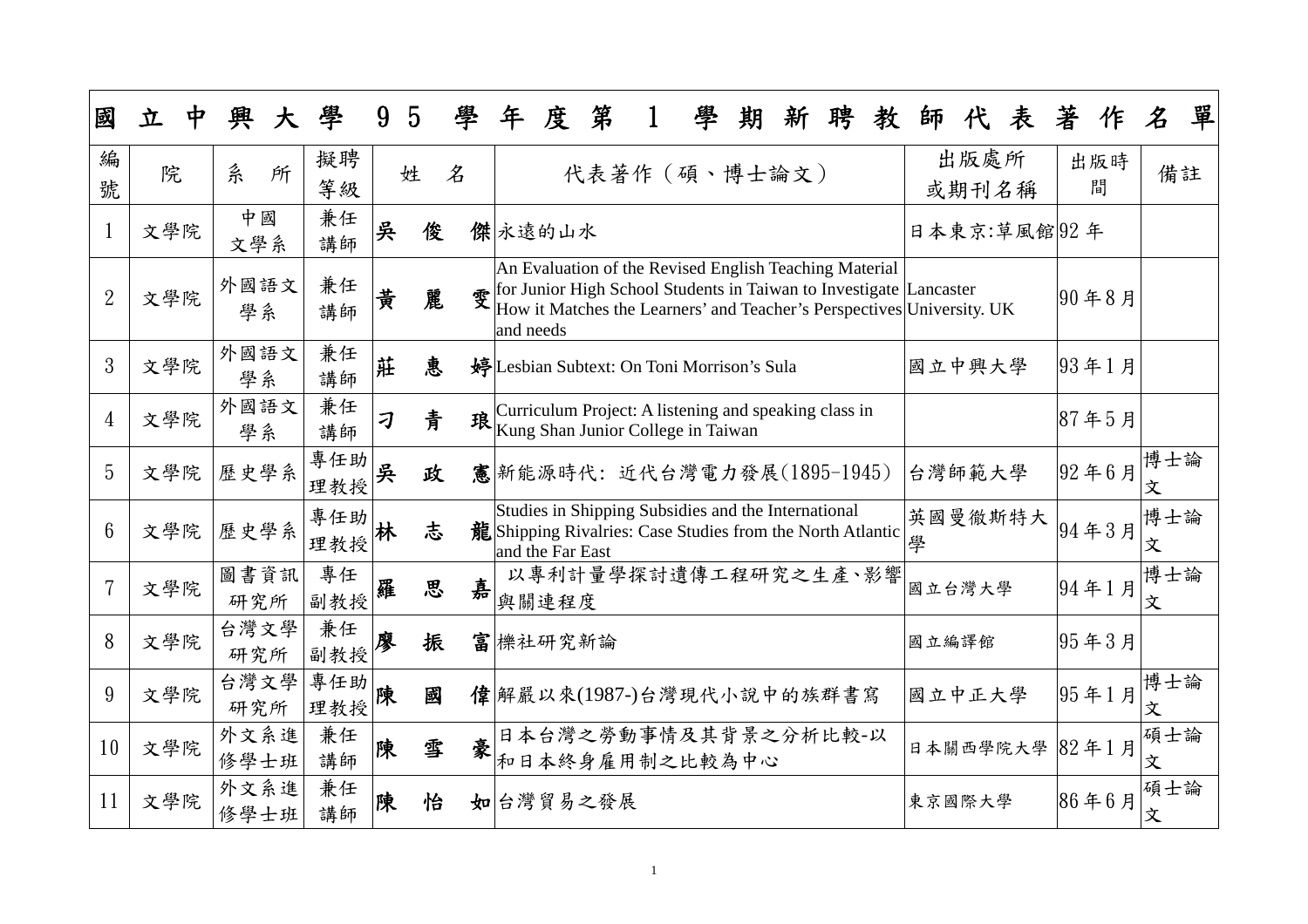| 國               | 立   | 興            | 學          | 9 | $\overline{5}$ | 學 | 年         | 度                | 第        | 學                                                                                                                                                                                                                    | 期 | 新 | 聘 | 教 | 師      |               | 表            | 著 |          | $\pmb{\mathcal{Z}}$ | 單 |
|-----------------|-----|--------------|------------|---|----------------|---|-----------|------------------|----------|----------------------------------------------------------------------------------------------------------------------------------------------------------------------------------------------------------------------|---|---|---|---|--------|---------------|--------------|---|----------|---------------------|---|
| 編<br>號          | 院   | 糸<br>所       | 擬聘<br>等級   |   | 姓              | 名 |           |                  |          | 代表著作 (碩、博士論文)                                                                                                                                                                                                        |   |   |   |   |        | 出版處所<br>或期刊名稱 |              |   | 出版時<br>間 | 備註                  |   |
| $\mathbf{1}$    | 文學院 | 中國<br>文學系    | 兼任<br>講師   | 吳 | 俊              |   |           | 傑永遠的山水           |          |                                                                                                                                                                                                                      |   |   |   |   |        |               | 日本東京:草風館 92年 |   |          |                     |   |
| $\overline{2}$  | 文學院 | 外國語文<br>學系   | 兼任<br>講師   | 黄 | 麗              |   | and needs |                  |          | An Evaluation of the Revised English Teaching Material<br>$\mathcal{F}$ for Junior High School Students in Taiwan to Investigate Lancaster<br>How it Matches the Learners' and Teacher's Perspectives University. UK |   |   |   |   |        |               |              |   | 90年8月    |                     |   |
| 3               | 文學院 | 外國語文<br>學系   | 兼任<br>講師   | 莊 | 恵              |   |           |                  |          | 婷Lesbian Subtext: On Toni Morrison's Sula                                                                                                                                                                            |   |   |   |   | 國立中興大學 |               |              |   | 93年1月    |                     |   |
| $\overline{4}$  | 文學院 | 外國語文<br>學系   | 兼任<br>講師   | 刁 | 青              | 琅 |           |                  |          | Curriculum Project: A listening and speaking class in<br>Kung Shan Junior College in Taiwan                                                                                                                          |   |   |   |   |        |               |              |   | 87年5月    |                     |   |
| 5               | 文學院 | 歷史學系         | 專任助<br>理教授 | 吳 | 政              |   |           |                  |          | 憲 新能源時代: 近代台灣電力發展(1895-1945)                                                                                                                                                                                         |   |   |   |   | 台灣師範大學 |               |              |   | 92年6月    | 博士論<br>文            |   |
| $6\phantom{1}6$ | 文學院 | 歷史學系         | 專任助<br>理教授 | 林 | 志              |   |           | and the Far East |          | Studies in Shipping Subsidies and the International<br>龍 Shipping Rivalries: Case Studies from the North Atlantic                                                                                                    |   |   |   |   | 學      |               | 英國曼徹斯特大      |   | 94年3月    | 博士論<br>文            |   |
|                 | 文學院 | 圖書資訊<br>研究所  | 專任<br>副教授  | 羅 | 思              | 嘉 |           | 與關連程度            |          | 以專利計量學探討遺傳工程研究之生產、影響                                                                                                                                                                                                 |   |   |   |   | 國立台灣大學 |               |              |   | 94年1月    | 博士論<br>文            |   |
| 8               | 文學院 | 台灣文學<br>研究所  | 兼任<br>副教授  | 廖 | 振              |   |           | 富機社研究新論          |          |                                                                                                                                                                                                                      |   |   |   |   | 國立編譯館  |               |              |   | 95年3月    |                     |   |
| 9               | 文學院 | 台灣文學<br>研究所  | 專任助<br>理教授 | 陳 | 國              |   |           |                  |          | 偉 解嚴以來(1987-)台灣現代小說中的族群書寫                                                                                                                                                                                            |   |   |   |   | 國立中正大學 |               |              |   | 95年1月    | 博士論<br>文            |   |
| 10              | 文學院 | 外文系進<br>修學士班 | 兼任<br>講師   | 陳 | 雪              | 豪 |           |                  |          | 日本台灣之勞動事情及其背景之分析比較-以<br>和日本終身雇用制之比較為中心                                                                                                                                                                               |   |   |   |   |        |               | 日本關西學院大學     |   | 82年1月    | 碩士論<br>文            |   |
| 11              | 文學院 | 外文系進<br>修學士班 | 兼任<br>講師   | 陳 | 怡              |   |           |                  | 如台灣貿易之發展 |                                                                                                                                                                                                                      |   |   |   |   | 東京國際大學 |               |              |   | 86年6月    | 碩士論<br>文            |   |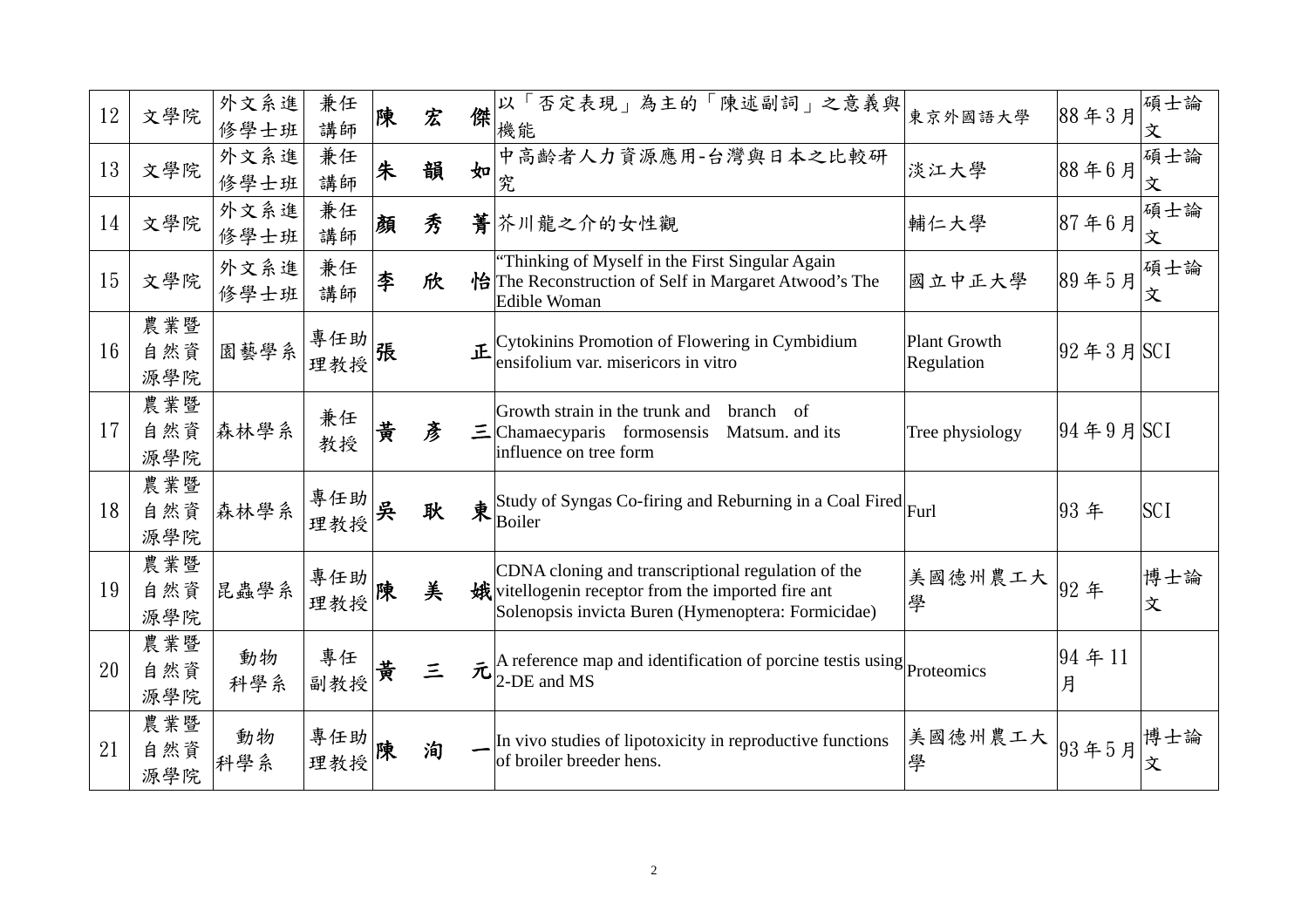| 12 | 文學院               | 外文系進<br>修學士班 | 兼任<br>講師   | 陳 | 宏        | 傑 | 以「否定表現」為主的「陳述副詞」之意義與<br>機能                                                                                                                                     | 東京外國語大學                           | 88年3月                   | 碩士論<br>文   |
|----|-------------------|--------------|------------|---|----------|---|----------------------------------------------------------------------------------------------------------------------------------------------------------------|-----------------------------------|-------------------------|------------|
| 13 | 文學院               | 外文系進<br>修學士班 | 兼任<br>講師   | 朱 | 韻        | 如 | 中高齡者人力資源應用-台灣與日本之比較研<br>究                                                                                                                                      | 淡江大學                              | 88年6月                   | 碩士論<br>文   |
| 14 | 文學院               | 外文系進<br>修學士班 | 兼任<br>講師   | 顏 | 秀        |   | 菁芥川龍之介的女性觀                                                                                                                                                     | 輔仁大學                              | 87年6月                   | 碩士論<br>文   |
| 15 | 文學院               | 外文系進<br>修學士班 | 兼任<br>講師   | 李 | 欣        |   | "Thinking of Myself in the First Singular Again<br>怡The Reconstruction of Self in Margaret Atwood's The<br>Edible Woman                                        | 國立中正大學                            | 89年5月                   | 碩士論<br>文   |
| 16 | 農業暨<br>自然資<br>源學院 | 園藝學系         | 專任助<br>理教授 | 張 |          |   | $\mathbb{E}\left[\text{Cytokinins Promotion of Flowering in Cymbidium}\right]$ ensifolium var. misericors in vitro                                             | Plant Growth<br><b>Regulation</b> | $ 92 \n43 \n5 \nSCI$    |            |
| 17 | 農業暨<br>自然資<br>源學院 | 森林學系         | 兼任<br>教授   | 黄 | 彥        |   | Growth strain in the trunk and<br>branch<br>-of<br>$\equiv$ Chamaecyparis formosensis<br>Matsum. and its<br>influence on tree form                             | Tree physiology                   | $ 94 \nless 9$ 月 $ SCI$ |            |
| 18 | 農業暨<br>自然資<br>源學院 | 森林學系         | 專任助<br>理教授 | 吳 | 耿        |   | $\frac{1}{\text{R}}$ Study of Syngas Co-firing and Reburning in a Coal Fired Furl                                                                              |                                   | 93年                     | <b>SCI</b> |
| 19 | 農業暨<br>自然資<br>源學院 | 昆蟲學系         | 專任助<br>理教授 | 陳 | 美        |   | CDNA cloning and transcriptional regulation of the<br>娥 vitellogenin receptor from the imported fire ant<br>Solenopsis invicta Buren (Hymenoptera: Formicidae) | 美國德州農工大  <br>學                    | 92年                     | 博士論<br>文   |
| 20 | 農業暨<br>自然資<br>源學院 | 動物<br>科學系    | 專任<br>副教授  | 貴 | $\equiv$ | 元 | $\vert$ A reference map and identification of porcine test is using $\vert$ Proteomics<br>$2$ -DE and MS                                                       |                                   | 94年11<br>月              |            |
| 21 | 農業暨<br>自然資<br>源學院 | 動物<br>科學系    | 專任助<br>理教授 | 陳 | 洵        |   | In vivo studies of lipotoxicity in reproductive functions<br>of broiler breeder hens.                                                                          | 美國德州農工大<br>學                      | 93年5月                   | 博士論<br>文   |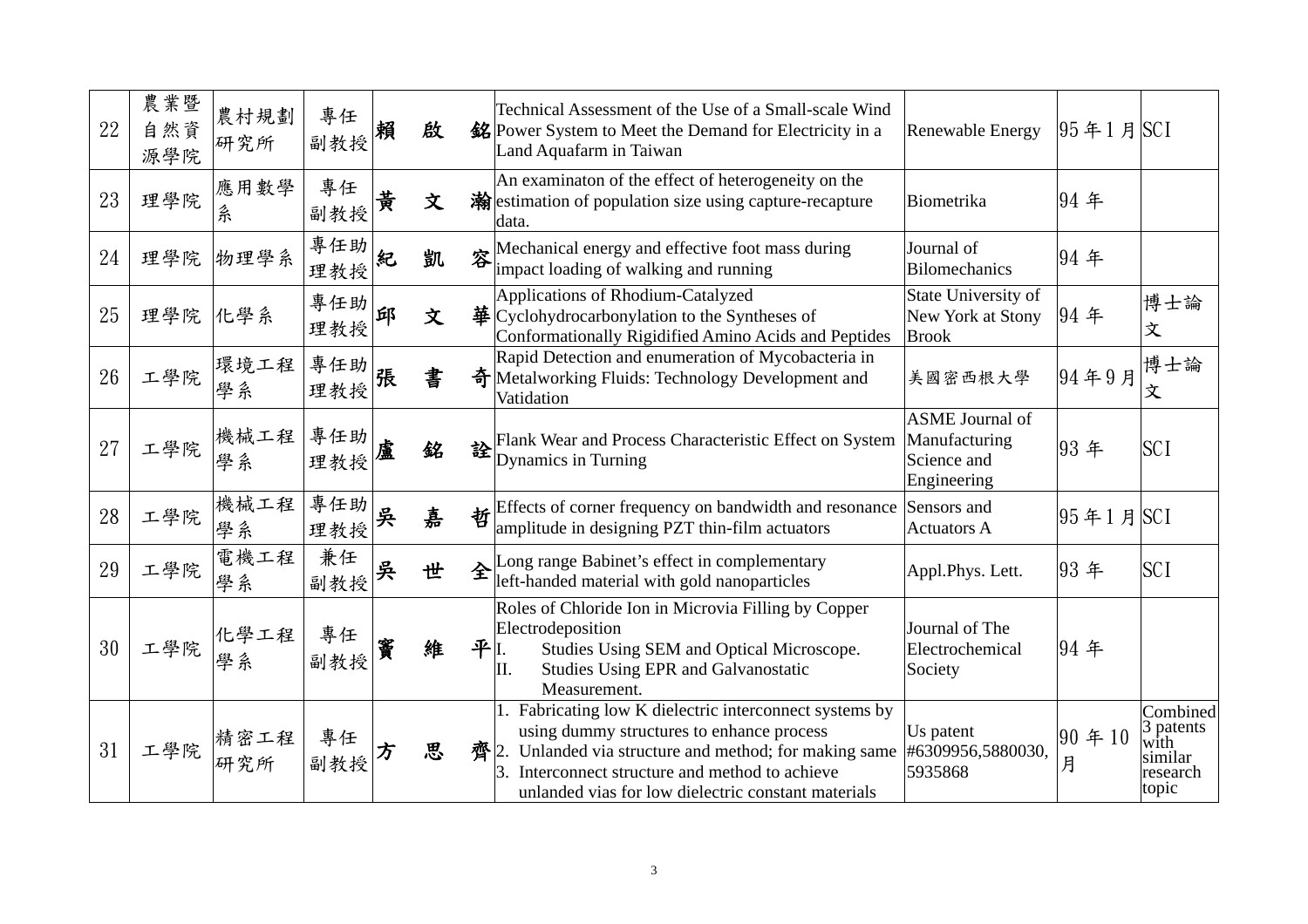| 22 | 農業暨<br>自然資<br>源學院 | 農村規劃<br>研究所 | 專任<br> 副教授  賴 |   | 啟 |      | Technical Assessment of the Use of a Small-scale Wind<br>銘 Power System to Meet the Demand for Electricity in a<br>Land Aquafarm in Taiwan                                                                                                                     | <b>Renewable Energy</b>                                               | $ 95 \nless 1 \nless SCI$ |                                                               |
|----|-------------------|-------------|---------------|---|---|------|----------------------------------------------------------------------------------------------------------------------------------------------------------------------------------------------------------------------------------------------------------------|-----------------------------------------------------------------------|---------------------------|---------------------------------------------------------------|
| 23 | 理學院               | 應用數學<br>糸   | 專任<br>副教授     | 黄 | 文 |      | An examinaton of the effect of heterogeneity on the<br>瀚 estimation of population size using capture-recapture<br>data.                                                                                                                                        | Biometrika                                                            | 94 年                      |                                                               |
| 24 | 理學院               | 物理學系        | 專任助<br>理教授    | 紀 | 凱 |      | <b>EXECUTE:</b> Mechanical energy and effective foot mass during<br>impact loading of walking and running                                                                                                                                                      | Journal of<br>Bilomechanics                                           | 94年                       |                                                               |
| 25 | 理學院               | 化學系         | 專任助<br>理教授    | 邱 | 文 |      | Applications of Rhodium-Catalyzed<br>$\frac{1}{2}$ Cyclohydrocarbonylation to the Syntheses of<br>Conformationally Rigidified Amino Acids and Peptides                                                                                                         | <b>State University of</b><br>New York at Stony<br><b>Brook</b>       | 94年                       | 博士論<br>文                                                      |
| 26 | 工學院               | 環境工程<br>學系  | 專任助 <br>理教授   | 張 | 書 |      | Rapid Detection and enumeration of Mycobacteria in<br>奇 Metalworking Fluids: Technology Development and<br>Vatidation                                                                                                                                          | 美國密西根大學                                                               | 94年9月                     | 博士論<br>文                                                      |
| 27 | 工學院               | 機械工程<br>學系  | 專任助<br>理教授    | 盧 | 銘 |      | Flank Wear and Process Characteristic Effect on System<br>Dynamics in Turning                                                                                                                                                                                  | <b>ASME</b> Journal of<br>Manufacturing<br>Science and<br>Engineering | 93年                       | <b>SCI</b>                                                    |
| 28 | 工學院               | 機械工程<br>學系  | 專任助<br>理教授    | 吳 | 嘉 |      | Effects of corner frequency on bandwidth and resonance<br>amplitude in designing PZT thin-film actuators                                                                                                                                                       | Sensors and<br><b>Actuators A</b>                                     | $ 95 \nless 1 \nless SCI$ |                                                               |
| 29 | 工學院               | 電機工程<br>學系  | 兼任<br>副教授     | 吳 | 世 |      | $\hat{\mathbf{z}}$ Long range Babinet's effect in complementary<br>left-handed material with gold nanoparticles                                                                                                                                                | Appl.Phys. Lett.                                                      | 93年                       | <b>SCI</b>                                                    |
| 30 | 工學院               | 化學工程<br>学系  | 專任<br>副教授     | 窨 | 維 | 平I.  | Roles of Chloride Ion in Microvia Filling by Copper<br>Electrodeposition<br>Studies Using SEM and Optical Microscope.<br>II.<br><b>Studies Using EPR and Galvanostatic</b><br>Measurement.                                                                     | Journal of The<br>Electrochemical<br>Society                          | 94年                       |                                                               |
| 31 | 工學院               | 精密工程<br>研究所 | 專任<br>副教授     |   | 思 | 齊 2. | Fabricating low K dielectric interconnect systems by<br>using dummy structures to enhance process<br>Unlanded via structure and method; for making same<br>Interconnect structure and method to achieve<br>unlanded vias for low dielectric constant materials | Us patent<br>#6309956,5880030,<br>5935868                             | $ 90 \tdiv 10$<br>月       | Combined<br>3 patents<br>with<br>similar<br>research<br>topic |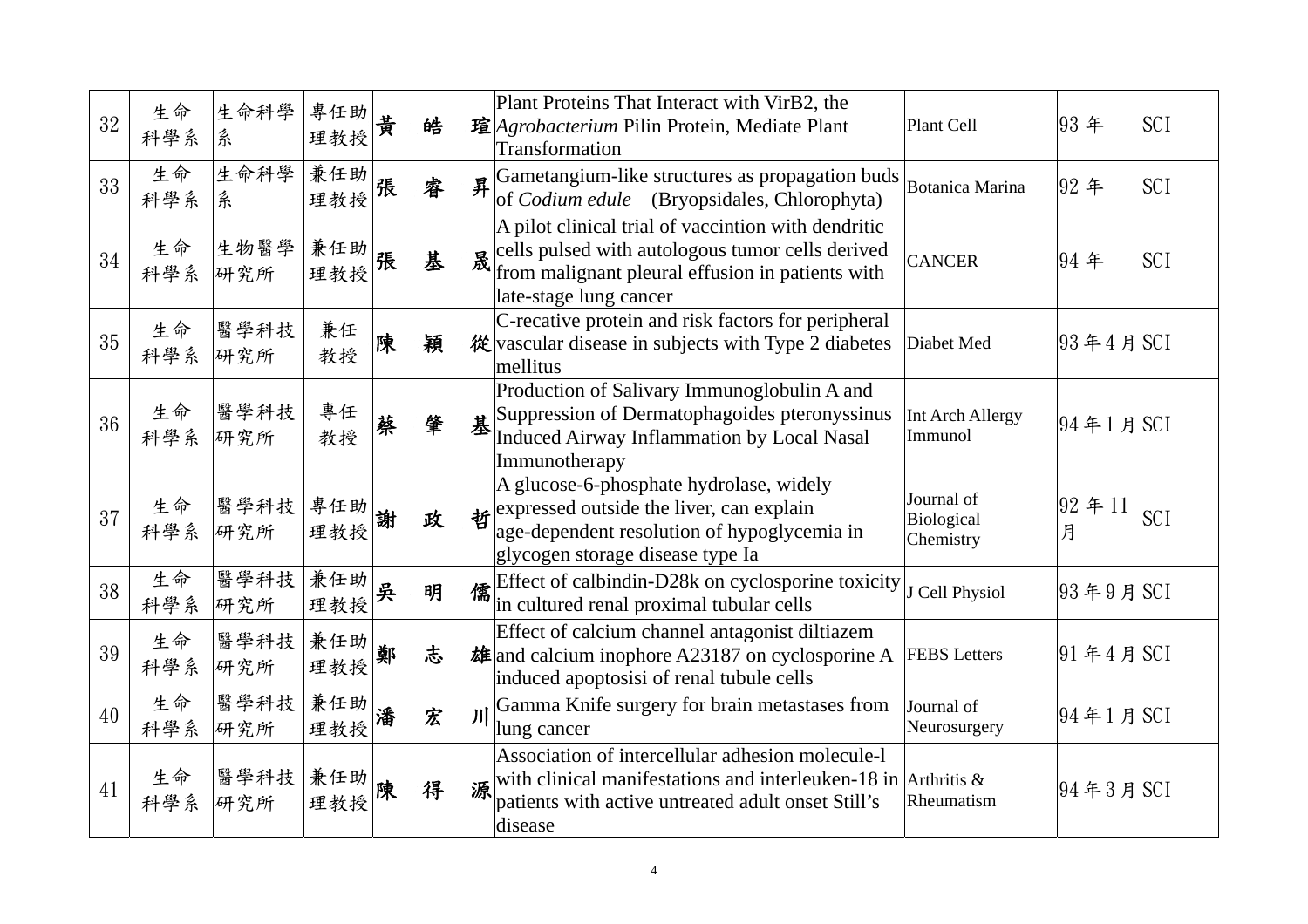| 32 | 生命<br>科學系 | 生命科學<br>糸         | 專任助<br>理教授     | 黄   | 皓  |   | Plant Proteins That Interact with VirB2, the<br>瑄 <i>Agrobacterium</i> Pilin Protein, Mediate Plant<br><b>Transformation</b>                                                                       | Plant Cell                            | 93年                       | <b>SCI</b> |
|----|-----------|-------------------|----------------|-----|----|---|----------------------------------------------------------------------------------------------------------------------------------------------------------------------------------------------------|---------------------------------------|---------------------------|------------|
| 33 | 生命<br>科學系 | 生命科學<br>糸         | 兼任助<br>理教授     | 張   | 睿  |   | $\frac{1}{2}$ Gametangium-like structures as propagation buds Botanica Marina<br>of <i>Codium edule</i> (Bryopsidales, Chlorophyta)                                                                |                                       | 92年                       | <b>SCI</b> |
| 34 | 生命<br>科學系 | 生物醫學<br>研究所       | 兼任助<br>理教授     | 張   | 基  |   | A pilot clinical trial of vaccintion with dendritic<br>$\mathbb{R}$ cells pulsed with autologous tumor cells derived<br>from malignant pleural effusion in patients with<br>late-stage lung cancer | <b>CANCER</b>                         | 94 年                      | <b>SCI</b> |
| 35 | 生命<br>科學系 | 醫學科技<br>研究所       | 兼任<br>教授       | 陳   | 穎  |   | C-recative protein and risk factors for peripheral<br>$\frac{\partial \mathcal{L}}{\partial \mathbf{r}}$ vascular disease in subjects with Type 2 diabetes<br>mellitus                             | Diabet Med                            | $ 93 \n44 \n5 $ SCI       |            |
| 36 | 生命<br>科學系 | 醫學科技<br>研究所       | 專任<br>教授       | 蔡   | 肇  | 基 | Production of Salivary Immunoglobulin A and<br>Suppression of Dermatophagoides pteronyssinus<br><b>Induced Airway Inflammation by Local Nasal</b><br>Immunotherapy                                 | Int Arch Allergy<br>Immunol           | $ 94 \pm 1 \pm  $ SCI     |            |
| 37 | 生命<br>科學系 | 醫學科技<br>研究所       | 專任助<br>理教授     | 謝   | 政  |   | A glucose-6-phosphate hydrolase, widely<br>$\mathbf{\hat{E}}$ expressed outside the liver, can explain<br>age-dependent resolution of hypoglycemia in<br>glycogen storage disease type Ia          | Journal of<br>Biological<br>Chemistry | $ 92 \n4 = 11$<br>月       | <b>SCI</b> |
| 38 | 生命<br>科學系 | 醫學科技<br>研究所       | 兼任助<br>理教授     | 吳   | 明  |   | 儒 Effect of calbindin-D28k on cyclosporine toxicity<br>in cultured renal proximal tubular cells                                                                                                    | J Cell Physiol                        | $ 93 \n49 \n5C1$          |            |
| 39 | 生命<br>科學系 | 醫學科技 兼任助 前<br>研究所 | 理教授            | 兲 * | べつ |   | Effect of calcium channel antagonist diltiazem<br><b><math>\frac{1}{2}</math></b> and calcium inophore A23187 on cyclosporine A FEBS Letters<br>induced apoptosisi of renal tubule cells           |                                       | $ 91 \n44 \n5 $ SCI       |            |
| 40 | 生命<br>科學系 | 醫學科技<br>研究所       | 兼任助<br>理教授     | 潘   | 宏  | J | Gamma Knife surgery for brain metastases from<br><sup>I</sup> lung cancer                                                                                                                          | Journal of<br>Neurosurgery            | $ 94 \nless 1$ 月 SCI      |            |
| 41 | 生命<br>科學系 | 醫學科技<br>研究所       | 兼任助 陳<br>理教授 陳 |     | 得  | 源 | Association of intercellular adhesion molecule-1<br>with clinical manifestations and interleuken-18 in Arthritis $\&$<br>patients with active untreated adult onset Still's<br>disease             | Rheumatism                            | $ 94 \nless 3 \nless SCI$ |            |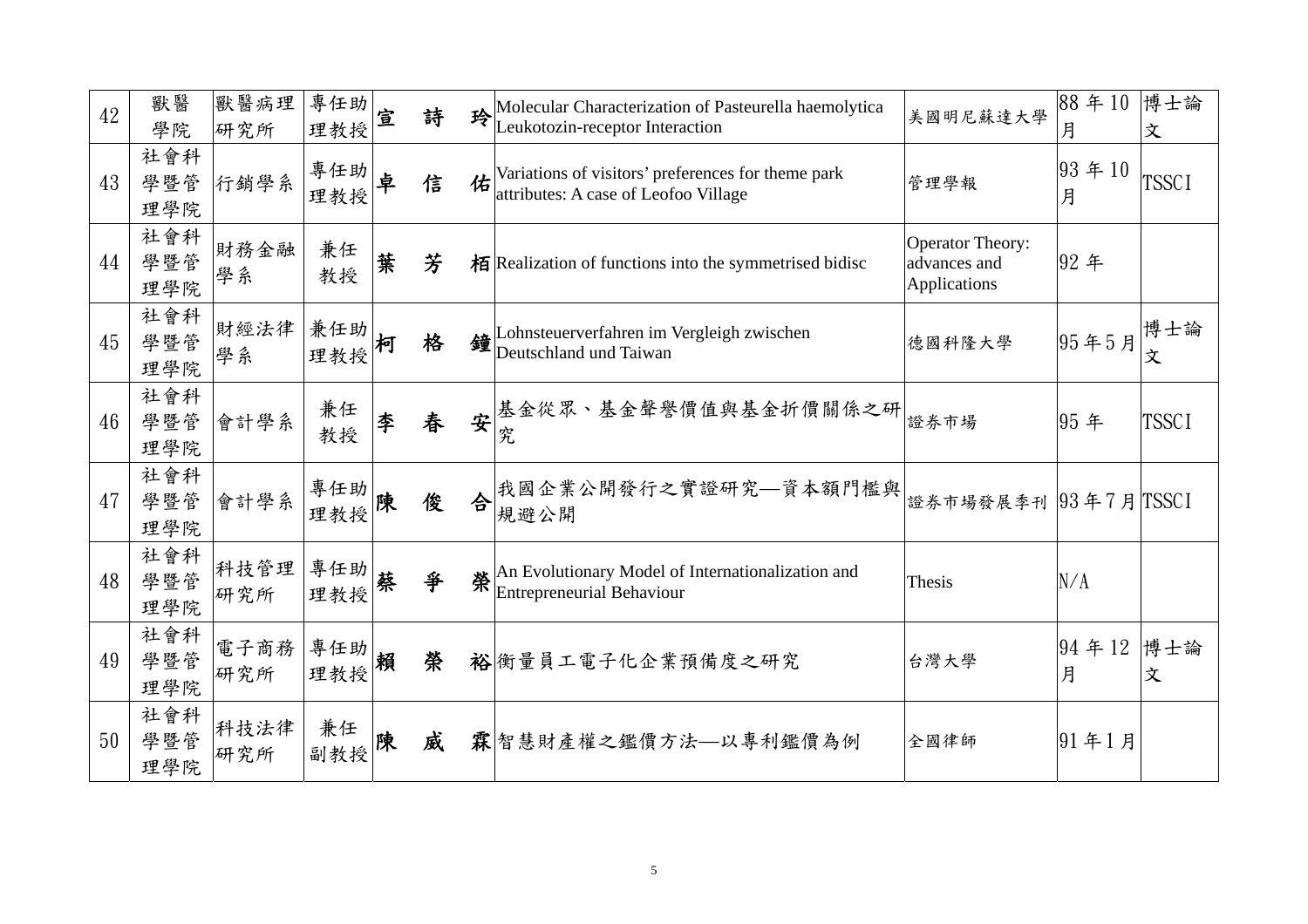| 42 | 獸醫<br>學院          | 獸醫病理<br>研究所   | 專任助<br>理教授    | 宣 | 詩 |   | Molecular Characterization of Pasteurella haemolytica<br>Leukotozin-receptor Interaction   | 美國明尼蘇達大學                                                | 88年10<br>月          | 博士論<br>文     |
|----|-------------------|---------------|---------------|---|---|---|--------------------------------------------------------------------------------------------|---------------------------------------------------------|---------------------|--------------|
| 43 | 社會科<br>學暨管<br>理學院 | 行銷學系          | 專任助<br>理教授    | 卓 | 信 | 佑 | Variations of visitors' preferences for theme park<br>attributes: A case of Leofoo Village | 管理學報                                                    | $ 93 \n4 \n10$<br>月 | <b>TSSCI</b> |
| 44 | 社會科<br>學暨管<br>理學院 | 財務金融<br>學系    | 兼任<br>教授      | 葉 | 芳 |   | 栢 Realization of functions into the symmetrised bidisc                                     | <b>Operator Theory:</b><br>advances and<br>Applications | 92年                 |              |
| 45 | 社會科<br>學暨管<br>理學院 | 財經法律<br>學系    | 兼任助 <br>理教授 柯 |   | 格 |   | $\bigcirc$ Lohnsteuerverfahren im Vergleigh zwischen<br>Deutschland und Taiwan             | 德國科隆大學                                                  | 95年5月               | 博士論<br>文     |
| 46 | 社會科<br>學暨管<br>理學院 | 會計學系          | 兼任<br>教授      | 李 | 春 | 安 | 基金從眾、基金聲譽價值與基金折價關係之研 <br>究                                                                 | 證券市場                                                    | 95年                 | <b>TSSCI</b> |
| 47 | 社會科<br>學暨管<br>理學院 | 會計學系          | 專任助<br>理教授 陳  |   | 俊 | 合 | 我國企業公開發行之實證研究—資本額門檻與<br>規避公開                                                               | 證券市場發展季刊  93年7月 TSSCI                                   |                     |              |
| 48 | 社會科<br>學暨管<br>理學院 | 科技管理<br>研究所   | 專任助<br>理教授    | 蔡 | 爭 |   | An Evolutionary Model of Internationalization and<br><b>Entrepreneurial Behaviour</b>      | Thesis                                                  | N/A                 |              |
| 49 | 社會科<br>學暨管<br>理學院 | 電子商務  <br>研究所 | 事任助  <br>理教授  |   | 榮 |   | 裕衡量員工電子化企業預備度之研究                                                                           | 台灣大學                                                    | 94年12 博士論<br>月      | 文            |
| 50 | 社會科<br>學暨管<br>理學院 | 科技法律<br>研究所   | 兼任<br> 副教授  陳 |   | 威 |   | 霖 智慧財產權之鑑價方法—以專利鑑價為例                                                                       | 全國律師                                                    | 91年1月               |              |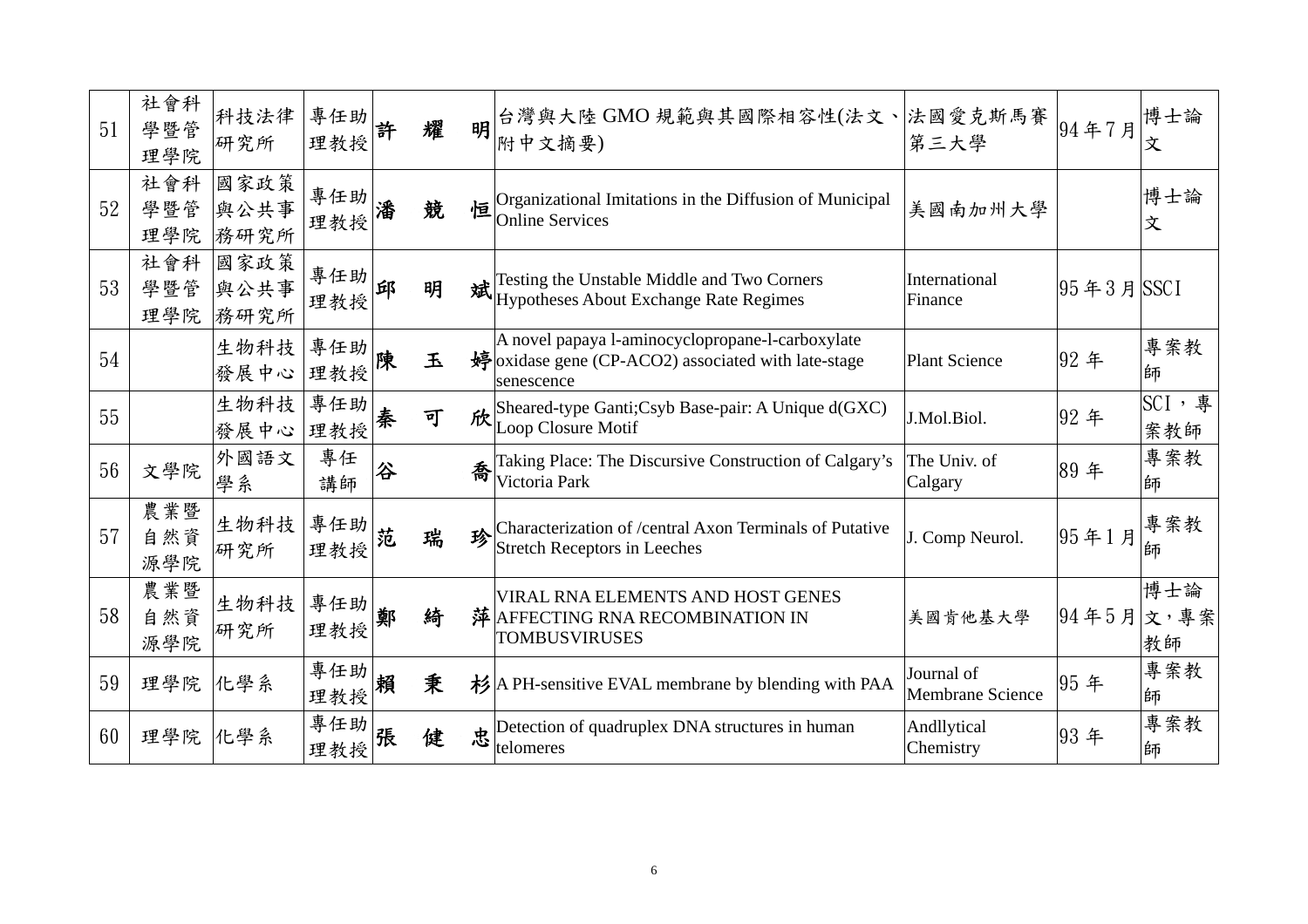| 51 | 社會科<br>學暨管<br>理學院 | 科技法律<br>研究所          | 專任助<br>理教授 | 許 | 耀 | 明 | 台灣與大陸 GMO 規範與其國際相容性(法文、 法國愛克斯馬賽<br>附中文摘要)                                                                            | 第三大學                                  | 94年7月                | 博士論<br>文           |
|----|-------------------|----------------------|------------|---|---|---|----------------------------------------------------------------------------------------------------------------------|---------------------------------------|----------------------|--------------------|
| 52 | 社會科<br>學暨管<br>理學院 | 國家政策<br>與公共事<br>務研究所 | 專任助<br>理教授 | 潘 | 競 | 恒 | Organizational Imitations in the Diffusion of Municipal<br><b>Online Services</b>                                    | 美國南加州大學                               |                      | 博士論<br>文           |
| 53 | 社會科<br>學暨管<br>理學院 | 國家政策<br>與公共事<br>務研究所 | 專任助<br>理教授 | 邱 | 明 |   | Testing the Unstable Middle and Two Corners<br>斌 Pesung the Chistene Construction                                    | International<br>Finance              | $ 95 \n43 \n5 $ SSCI |                    |
| 54 |                   | 生物科技<br>發展中心         | 專任助<br>理教授 | 陳 | 玉 |   | A novel papaya l-aminocyclopropane-l-carboxylate<br>婷oxidase gene (CP-ACO2) associated with late-stage<br>senescence | <b>Plant Science</b>                  | 92年                  | 專案教<br>師           |
| 55 |                   | 生物科技<br>發展中心         | 專任助<br>理教授 | 秦 | 可 |   | fix Sheared-type Ganti; Csyb Base-pair: A Unique d(GXC)<br>Loop Closure Motif                                        | J.Mol.Biol.                           | 92年                  | SCI, 專<br>案教師      |
| 56 | 文學院               | 外國語文<br>學系           | 專任<br>講師   | 谷 |   | 喬 | Taking Place: The Discursive Construction of Calgary's<br>Victoria Park                                              | The Univ. of<br>Calgary               | 89年                  | 專案教<br>師           |
| 57 | 農業暨<br>自然資<br>源學院 | 生物科技<br>研究所          | 專任助<br>理教授 | 范 | 瑞 | 珍 | Characterization of /central Axon Terminals of Putative<br><b>Stretch Receptors in Leeches</b>                       | J. Comp Neurol.                       | 95年1月                | 專案教<br>師           |
| 58 | 農業暨<br>自然資<br>源學院 | 生物科技<br>研究所          | 專任助<br>理教授 | 鄭 | 綺 |   | VIRAL RNA ELEMENTS AND HOST GENES<br>萍 AFFECTING RNA RECOMBINATION IN<br><b>TOMBUSVIRUSES</b>                        | 美國肯他基大學                               | $ 94\oplus5\oplus$   | 博士論<br>文,專案<br> 教師 |
| 59 | 理學院               | 化學系                  | 專任助<br>理教授 | 賴 | 秉 |   | 杉 A PH-sensitive EVAL membrane by blending with PAA                                                                  | Journal of<br><b>Membrane Science</b> | 95年                  | 專案教<br>師           |
| 60 | 理學院               | 化學系                  | 專任助<br>理教授 | 張 | 健 |   | $\frac{1}{\sqrt{\frac{1}{2}}}\sqrt{\frac{1}{2}}$ Detection of quadruplex DNA structures in human<br>telomeres        | Andllytical<br>Chemistry              | 93年                  | 專案教<br>師           |